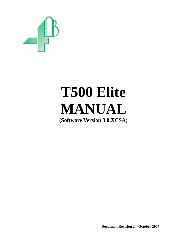

# **T500 Elite MANUAL**

**(Software Version 3.0.XCSA)** 

**Document Revision 2 – October 2007**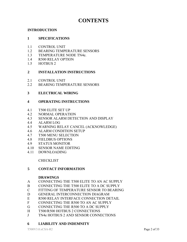## **CONTENTS**

#### **INTRODUCTION**

#### **1 SPECIFICATIONS**

- 1.1 CONTROL UNIT
- 1.2 BEARING TEMPERATURE SENSORS
- 1.3 TEMPERATURE NODE TN4e.
- 1.4 R500 RELAY OPTION
- 1.5 HOTBUS 2

#### **2 INSTALLATION INSTRUCTIONS**

- 2.1 CONTROL UNIT
- 2.2 BEARING TEMPERATURE SENSORS

#### **3 ELECTRICAL WIRING**

#### **4 OPERATING INSTRUCTIONS**

- 4.1 T500 ELITE SET UP
- 4.2 NORMAL OPERATION
- 4.3 SENSOR ALARM DETECTION AND DISPLAY
- 4.4 ALARM LOG
- 4.5 WARNING RELAY CANCEL (ACKNOWLEDGE)
- 4.6 ALARM CONDITION SETUP
- 4.7 T500 MENU SELECTION
- 4.8 FIELDBUS OPTIONS
- 4.9 STATUS MONITOR
- 4.10 SENSOR NAME EDITING
- 4.11 DOWNLOADING

#### CHECKLIST

#### **5 CONTACT INFORMATION**

#### **DRAWINGS**

- A CONNECTING THE T500 ELITE TO AN AC SUPPLY
- B CONNECTING THE T500 ELITE TO A DC SUPPLY
- C FITTING OF TEMPERATURE SENSOR TO BEARING
- D GENERAL INTERCONNECTION DIAGRAM
- E R500 RELAY INTERFACE CONNECTION DETAIL
- F CONNECTING THE R500 TO AN AC SUPPLY
- G CONNECTING THE R500 TO A DC SUPPLY
- H T500/R500 HOTBUS 2 CONNECTIONS
- J TN4e HOTBUS 2 AND SENSOR CONNECTIONS

#### **6 LIABILITY AND INDEMNITY**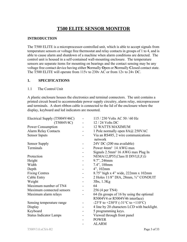## **T500 ELITE SENSOR MONITOR**

#### **INTRODUCTION**

The T500 ELITE is a microprocessor-controlled unit, which is able to accept signals from temperature sensors or voltage free thermostat and relay contacts in groups of 1 to 4, and is able to cause alarm and shutdown of a machine when alarm conditions are detected. The control unit is housed in a self-contained wall-mounting enclosure. The temperature sensors are separate items for mounting on bearings and the contact sensing may be any voltage free contact device having either **N**ormally **O**pen or **N**ormally **C**losed contact state. The T500 ELITE will operate from 115v to 230v AC or from 12v to 24v DC.

#### **1. SPECIFICATIONS**

#### 1.1 The Control Unit

A plastic enclosure houses the electronics and terminal connectors. The unit contains a printed circuit board to accommodate power supply circuitry, alarm relay, microprocessor and terminals. A short ribbon cable is connected to the lid of the enclosure where the display, keyboard and led indicators are mounted.

| Electrical Supply (T5004V46C) | 115 / 230 Volts AC 50 / 60 Hz                                               |
|-------------------------------|-----------------------------------------------------------------------------|
| (T5004V4C)                    | $12/24$ Volts DC                                                            |
| Power Consumption             | <b>12 WATTS MAXIMUM</b>                                                     |
| <b>Alarm Relay Contacts</b>   | 1 Pole normally open 8A@ 250VAC                                             |
| <b>Sensor Inputs</b>          | Via an RS485, 2 wire communications<br>network                              |
| <b>Sensor Supply</b>          | 24V DC (200 ma available)                                                   |
| Terminals                     | Power 4mm <sup>2</sup> 14 AWG max                                           |
|                               | Signals 2.5mm <sup>2</sup> 16 AWG max Plug In                               |
| Protection                    | NEMA12, IP55, Class II DIVI, E, F, G                                        |
| Height                        | 9.7", 246mm                                                                 |
| Width                         | $7.4$ ", 188mm                                                              |
| Depth                         | 4", 102mm                                                                   |
| <b>Fixing Centres</b>         | 8.75" high x 4" wide, 222mm x 102mm                                         |
| Cable Entry                   | 2 Holes 11/8" DIA, 28mm, 3/4" CONDUIT                                       |
| Weight                        | 3lbs, 1.3Kg                                                                 |
| Maximum number of TN4         | 64                                                                          |
| Maximum connected sensors     | 256 (4 per TN4)                                                             |
| Maximum alarm relays          | 64 (In groups of 16 by using the optional<br>R5004V4 or R5004V46 interface) |
| Sensing temperature range     | -23°F to +230°F (-31°C to +110°C)                                           |
| Display                       | 4 line by 20 characters LCD with backlight.                                 |
| Keyboard                      | 5 programming keys.                                                         |
| <b>Status Indicator Lamps</b> | Viewed through front panel                                                  |
|                               | <b>POWER</b>                                                                |
|                               | <b>ALARM</b>                                                                |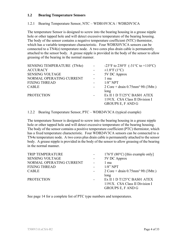#### **1.2 Bearing Temperature Sensors**

1.2.1 Bearing Temperature Sensor, NTC – WDB10V3CA / WDB20V3CA

The temperature Sensor is designed to screw into the bearing housing in a grease nipple hole or other tapped hole and will detect excessive temperature of the bearing housing. The body of the sensor contains a negative temperature coefficient (NTC) thermistor, which has a variable temperature characteristic. Four WDBX0V3CA sensors can be connected to a TN4(e) temperature node. A two cores plus drain cable is permanently attached to the sensor body. A grease nipple is provided in the body of the sensor to allow greasing of the bearing in the normal manner.

| <b>SENSING TEMPERATURE (TN4e)</b> |                | -23°F to 230°F (-31°C to +110°C)                                                                  |
|-----------------------------------|----------------|---------------------------------------------------------------------------------------------------|
| <b>ACCURACY</b>                   |                | $\pm 1.8$ °F (1°C)                                                                                |
| <b>SENSING VOLTAGE</b>            |                | 5V DC Approx                                                                                      |
| NORMAL OPERATING CURRENT          |                | 1 ma                                                                                              |
| <b>FIXING THREAD</b>              |                | $1/8$ " NPT                                                                                       |
| <b>CABLE</b>                      | $\blacksquare$ | $2 \text{ Core} + \text{drain } 0.75 \text{mm}^2 \text{ } 9 \text{ft } (3 \text{ Mtr.})$          |
| <b>PROTECTION</b>                 |                | long<br>EX II 1 D T125°C BAS01 ATEX<br>1191X. CSA Class II Division I<br><b>GROUPS E, F AND G</b> |

1.2.2 Bearing Temperature Sensor, PTC – WDB24V3CA (typical example)

The temperature Sensor is designed to screw into the bearing housing in a grease nipple hole or other tapped hole and will detect excessive temperature of the bearing housing. The body of the sensor contains a positive temperature coefficient (PTC) thermistor, which has a fixed temperature characteristic. Four WDB24V3CA sensors can be connected to a TN4e temperature node. A two cores plus drain cable is permanently attached to the sensor body. A grease nipple is provided in the body of the sensor to allow greasing of the bearing in the normal manner.

| <b>TRIP TEMPERATURE</b>  |                          | $176^{\circ}F(80^{\circ}C)$ [this example only]                                          |
|--------------------------|--------------------------|------------------------------------------------------------------------------------------|
| <b>SENSING VOLTAGE</b>   |                          | 5V DC Approx                                                                             |
| NORMAL OPERATING CURRENT |                          | 1 ma                                                                                     |
| <b>FIXING THREAD</b>     |                          | $1/8$ " NPT                                                                              |
| <b>CABLE</b>             |                          | $2 \text{ Core} + \text{drain } 0.75 \text{mm}^2 \text{ } 9 \text{ft } (3 \text{ Mtr.})$ |
|                          |                          | long                                                                                     |
| <b>PROTECTION</b>        | $\overline{\phantom{a}}$ | EX II 1 D T125°C BAS01 ATEX                                                              |
|                          |                          | 1191X. CSA Class II Division I                                                           |
|                          |                          | <b>GROUPS E, F AND G</b>                                                                 |
|                          |                          |                                                                                          |

See page 14 for a complete list of PTC type numbers and temperatures.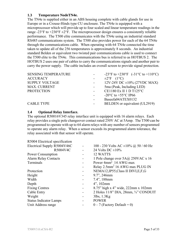#### **1.3 Temperature NodeTN4e.**

The TN4e is supplied either in an ABS housing complete with cable glands for use in Europe or in a Crouse-Hinds type CU enclosure. The TN4e is equipped with a microprocessor which will provide up to four scaled and linear temperature readings in the range -23°F to  $+230$ °F  $\pm 2$ °F. The microprocessor design ensures a consistently reliable performance. The T500 elite communicates with the TN4e using an industrial standard RS485 communications system. The T500 also provides power for each of the 64 TN4e through the communications cable. When operating with 64 TN4e connected the time taken to update all of the 256 temperatures is approximately 8 seconds. An industrial standard Belden or equivalent two twisted pair communications cable is used to connect the T500 elite to the TN4e. This communications bus is referred to as HOTBUS 2. The HOTBUS 2 uses one pair of cables to carry the communications signals and another pair to carry the power supply. The cable includes an overall screen to provide signal protection.

| <b>SENSING TEMPERATURE</b> | -23°F to +230°F $(-31^{\circ}C \text{ to } +110^{\circ}C)$ |
|----------------------------|------------------------------------------------------------|
| <b>ACCURACY</b>            | $\pm 2$ °F (1°C)                                           |
| <b>SUPPLY VOLTAGE</b>      | $12V-24V$ DC $\pm 10\%$ (27VDC MAX)                        |
| <b>MAX. CURRENT</b>        | 5ma (Peak, Including LED)                                  |
| <b>PROTECTION</b>          | CE1180 Ex II 1 D T125°C                                    |
|                            | -20 $^{\circ}$ C to +55 $^{\circ}$ C IP66                  |
|                            | Baseefa04ATEX0132                                          |
| <b>CABLE TYPE</b>          | BELDEN or equivalent (UL2919)                              |
|                            |                                                            |

#### **1.4 Optional Relay Interface.**

The optional R50016V345 relay interface unit is equipped with 16 alarm relays. Each relay provides a single pole changeover contact rated 250V AC at 5Amp. The T500 can be programmed to operate with up to 64 alarm relays with any number of sensors programmed to operate any alarm relay. When a sensor exceeds its programmed alarm tolerance, the relay associated with that sensor will operate.

| R5004 Electrical specification |                          |                                                        |
|--------------------------------|--------------------------|--------------------------------------------------------|
| Electrical Supply R5004V46C    | $\overline{a}$           | 100 - 230 Volts AC $\pm 10\%$ @ 50 / 60 Hz             |
| R5004V4C                       |                          | 24 Volts DC $\pm 10\%$                                 |
| Power Consumption              |                          | 12 WATTS                                               |
| <b>Alarm Relay Contacts</b>    |                          | 1 Pole change over 5A@ 250VAC x 16                     |
| Terminals                      |                          | Power 4mm <sup>2</sup> 14 AWG max                      |
|                                |                          | Relay 2.5mm <sup>2</sup> 16 AWG max PLUG IN            |
| Protection                     | -                        | NEMA12, IP55, Class II DIVI, E, F, G                   |
| Height                         |                          | 9.7", 246mm                                            |
| Width                          |                          | 7.4", 188mm                                            |
| Depth                          |                          | $4$ ", 102mm                                           |
| <b>Fixing Centres</b>          |                          | 8.75" high x 4" wide, 222mm x 102mm                    |
| Cable Entry                    | $\overline{\phantom{a}}$ | 2 Holes $11/8$ " DIA, $28$ mm, $\frac{3}{4}$ " CONDUIT |
| Weight                         |                          | $3lbs$ , $1.3Kg$                                       |
| <b>Status Indicator Lamps</b>  |                          | <b>POWER</b>                                           |
| Unit Address range             |                          | $0-7$ (Factory Default = 0)                            |
|                                |                          |                                                        |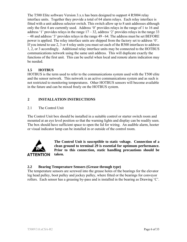The T500 Elite software Version 3.x.x has been designed to support 4 R5004 relay interface units. Together they provide a total of 64 alarm relays. Each relay interface is fitted with a unit address selector switch. This switch allow up to 8 unit addresses although only the first 4 are currently used. Address '0' provides relays in the range of 1 to 16 and address '1' provides relays in the range  $17 - 32$ , address '2' provides relays in the range 33 – 48 and address '3' provides relays in the range 49 - 64. The address must be set BEFORE power is applied. The relay interface units are shipped from the factory set to address '0'. If you intend to use 2, 3 or 4 relay units you must set each of the R500 interfaces to address 1, 2, or 3 accordingly. Additional relay interface units may be connected to the HOTBUS communications network using the same unit address. This will duplicate exactly the functions of the first unit. This can be useful when local and remote alarm indication may be needed.

#### **1.5 HOTBUS**

HOTBUS is the term used to refer to the communications system used with the T500 elite and the sensor network. This network is an active communications system and as such is not restricted to monitoring temperatures. Other HOTBUS sensors will become available in the future and can be mixed freely on the HOTBUS system.

#### **2 INSTALLATION INSTRUCTIONS**

#### 2.1 The Control Unit

The Control Unit box should be installed in a suitable control or starter switch room and mounted at an eye level position so that the warning lights and display can be readily seen. The box should have sufficient space to open the lid for wiring. An audible alarm, hooter or visual indicator lamp can be installed in or outside of the control room.



**The Control Unit is susceptible to static voltage. Connection of a clean ground to terminal 29 is essential for optimum performance. Prior to this connection, static handling precautions should be taken.** 

#### **2.2 Bearing Temperature Sensors (Grease through type)**

rollers. Each sensor has a greasing by-pass and is installed in the bearing as Drawing  $C$ . The temperature sensors are screwed into the grease holes of the bearings for the elevator leg head pulley, boot pulley and jockey pulley, where fitted or the bearings for conveyor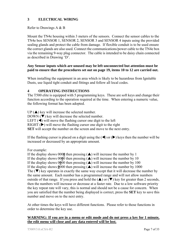#### **3 ELECTRICAL WIRING**

#### Refer to Drawings A & B

Mount the TN4e housing within 3 meters of the sensors. Connect the sensor cables to the TN4e box SENSOR 1, SENSOR 2, SENSOR 3 and SENSOR 4 inputs using the provided sealing glands and protect the cable from damage. If flexible conduit is to be used ensure the correct glands are also used. Connect the communications/power cable to the TN4e box via the remaining 9-way plug connector. The cable is intended to be daisy chain connected as described in Drawing 'D'.

#### **Any Sensor inputs which are unused may be left unconnected but attention must be paid to ensure that the procedures set out on page 19, items 10 to 12 are carried out.**

When installing the equipment in an area which is likely to be hazardous from Ignitable Dusts, use liquid tight conduit and fittings and follow all local codes.

#### **4 OPERATING INSTRUCTIONS**

The T500 elite is equipped with 5 programming keys. These are soft keys and change their function according to the operation required at the time. When entering a numeric value, the following format has been adopted.

 $UP(\triangle)$  key will increase the selected number. DOWN  $(\nabla)$  key will decrease the selected number. LEFT  $(\triangleleft)$  will move the flashing cursor one digit to the left RIGHT  $(\triangleright)$  will move the flashing cursor one digit to the right **SET** will accept the number on the screen and move to the next entry.

If the flashing cursor is placed on a digit using the  $(\blacktriangle)$  or  $(\blacktriangleright)$  keys then the number will be increased or decreased by an appropriate amount.

#### For example:

If the display shows 0000 then pressing  $(\triangle)$  will increase the number by 1 If the display shows 0000 then pressing  $(\triangle)$  will increase the number by 10 If the display shows  $0\underline{0}00$  then pressing  $(\triangle)$  will increase the number by 100 If the display shows  $0000$  then pressing  $(\triangle)$  will increase the number by 1000 The  $(\blacktriangledown)$  key operates in exactly the same way except that it will decrease the number by the same amount. Each number has a programmed range and will not allow numbers outside of that range. If you press and hold the  $(\triangle)$  or  $(\triangledown)$  key for greater than 2 seconds, then the numbers will increase or decrease at a faster rate. Due to a low software priority the key repeat rate will vary, this is normal and should not be a cause for concern. When you are satisfied that the number being displayed is correct, press the **SET** key to save this number and move on to the next entry.

At other times the keys will have different functions. Please refer to those functions in order to determine the key use.

#### **WARNING: If you are in a menu or edit mode and do not press a key for 1 minute, the edit menu will close and any data entered will be lost.**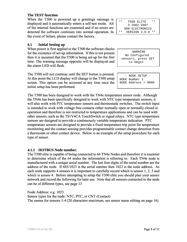#### **The TEST function**

When the T500 is powered up a greetings message is displayed and it automatically enters a self-test mode. All of the internal functions are examined and if no errors are detected the software continues into normal operation. In the event of failure, please contact the factory.

#### **4.1 Initial Setting up**

When power is first applied to the T500 the software checks for the existence of set-up information. If this is not present then it is assumed that the T500 is being set-up for the first time. The warning message opposite will be displayed and the alarm LED will flash.

The T500 will not continue until the SET button is pressed. At this point the LCD display will change to the T500 setup screen. This option can be accessed at any time once the initial setup has been performed.

The T500 has been designed to work with the TN4e temperature sensor node. Although the TN4e has been specifically designed to work with NTC type temperature sensors, it will also work with PTC temperature sensors and thermostatic switches. The switch input is intended to work with voltage free contacts either normally open or normally closed in operation and therefore is not restricted to temperature applications and can be used with other sensors, such as the TS1V4CA TouchSwitch or signal relays. NTC type temperature sensors are designed to provide a continuously variable temperature indication. PTC temperature sensors are designed to provide a fixed temperature trip point for temperature monitoring and the contact sensing provides programmable contact change detection from a thermostat or other contact device. Below is an example of the setup procedure for each type of sensor.

#### **4.1.1 HOTBUS Node number.**

The T500 elite is capable of being connected to 64 TN4e Nodes and therefore it is essential to determine which of the 64 nodes the information is referring to. Each TN4e node is manufactured with a unique serial number. The last four digits of the serial number are the address of the node. If 683/1023 is the serial number then 1023 is the node address. As each node supports 4 sensors it is important to carefully record which is sensor 1, 2, 3 and which is sensor 4. Before attempting to setup the T500 elite you should plan your sensor network and record the following for later use. Note that all sensors connected to the node can be of different types, see page 13

Node Address: e.g. 1023 Sensor types for the node: NTC, PTC, or CNT (Contact) The names for sensors 1-4 (20 characters maximum, see sensor name editing on page 16)

| $* *$ | T500 FIJTTE<br>* *   |
|-------|----------------------|
|       | $@ 2002 - 2007$      |
|       | DON ELECTRONICS      |
| * *   | VERSION 3.0.0<br>* * |

| WARNING            |  |
|--------------------|--|
| No Configured      |  |
| sensors, press SET |  |
| to begin           |  |

 - NODE SETUP - NODE Number 1 NODE Address = 0000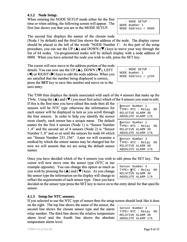**4.1.2 Node Setup.** 

When entering the NODE SETUP mode either for the first time or when editing, the following screen will appear. The first line shows you that you are in the MODE SETUP.

The second line displays the names of the chosen node

(Node 1 by default) and the third line shows the address of the node. The display cursor should be placed to the left of the words 'NODE Number 1'. At this part of the setup procedure, you can use the UP  $(\triangle)$  and DOWN ( $\nabla$ ) keys to move your way through the list of 64 nodes. Un-programmed nodes will by default display with a node address of 0000. When you have selected the node you wish to edit, press the SET key.

The cursor will now move to the address portion of the node details. You can now use the UP  $(\triangle)$ , DOWN  $(\blacktriangledown)$ , LEFT  $\triangleleft$ ) or RIGHT ( $\triangleright$ ) keys to edit the node address. When you are satisfied that the number being displayed is correct, press the **SET** key to save this number and move on to the next entry.

The T500 then displays the details associated with each of the 4 TN4e. Using the  $(\triangle)$  and  $(\blacktriangledown)$  you must first select which of the

If this is the first time you have edited this node then all the sensors will be NTC type otherwise the information for each sensor will be displayed in turn as you scroll through the four sensors. In order to help you identify the sensor more clearly, each sensor has a unique name. The default names for the first 4 sensors (Node 1) is "Sensor Number 1..4" and the second set of 4 sensors (Node 2) is "Sensor Number 5..8" and so on until the sensors for node 64 which are "Sensor Number 253..256". Later we will examine a method by which the sensor names may be changed but for now we will assume that we are using the default sensor names.

Once you have decided which of the 4 sensors you wish to e

cursor will now move onto the sensor type (NTC in our example opposite). You can change this option as much as you wish by pressing the  $(\triangle)$  and  $(\blacktriangledown)$  keys. As you change the sensor type the information on the display will change to reflect the requirements of each sensor type. Once you have

decided on the sensor type press the SET key to move on to the entry detail for that specific sensor.

#### **4.1.3 Setup for NTC sensors.**

If you selected to use the NTC type of sensor then the setup screen should look like it does

on the right. The top line shows the name of the sensor, the second line shows the chosen sensor type and the alarm relay number. The third line shows the relative temperature alarm level and the fourth line shows the absolute temperature alarm level.

| dit press the SET key. The |  |  |  |
|----------------------------|--|--|--|
|                            |  |  |  |

TYPE= **N**TC : Relay 00 RELATIVE ALARM 30 ABSOLUTE ALARM 176

ABSOLUTE ALARM 176

Sensor Number 4

| Sensor Number 4      |
|----------------------|
| TYPE= NTC : Relay 00 |
| RELATIVE ALARM 30    |
| ABSOLUTE ALARM 176   |

 - NODE SETUP - NODE Number 1 NODE Address = 1234

| 4 sensors that make up the    |
|-------------------------------|
| e 4 sensors you want to edit. |
| <b>S</b> ensor Number 1       |

ABSOLUTE ALARM 176 **S**ensor Number 2 TYPE= NTC : Relay 00 RELATIVE ALARM 30 ABSOLUTE ALARM 176 **S**ensor Number 3 TYPE= NTC : Relay 00 RELATIVE ALARM 30

TYPE= NTC : Relay 00 RELATIVE ALARM 30

 - NODE SETUP - NODE Number 1 NODE Address = 0000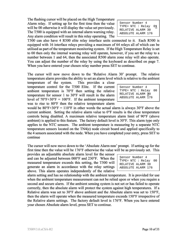The flashing cursor will be placed on the High Temperature Alarm relay. If setting up for the first time then the value will be 00 otherwise it will display the value set previously. The T500 is equipped with an internal alarm warning relay. Any alarm condition will result in this relay operating. The

| Sensor Number 4<br>TYPE= $NTC : Relay 01$ |  |  |
|-------------------------------------------|--|--|
| RELATIVE ALARM 30<br>ABSOLUTE ALARM 176   |  |  |

T500 can also have 4 R500 elite relay interface units connected to it. Each R500 is equipped with 16 interface relays providing a maximum of 64 relays all of which can be utilised as part of the temperature monitoring system. If the High Temperature Relay is set to 00 then only the internal warning relay will operate, however, if you set the relay to a number between 1 and 64, then the associated R500 alarm zone relay will also operate. You can adjust the number of the relay by using the keyboard as described on page 7. When you have entered your chosen relay number press SET to continue.

The cursor will now move down to the 'Relative Alarm 30' prompt. The relative temperature alarm provides the ability to set an alarm level which is relative to the ambient

temperature of the system. This provides a close temperature control for the T500 Elite. If the current ambient temperature is 70°F then setting the relative temperature for sensor 1 to 30°F will result in the alarm level of  $70^{\circ}F+30^{\circ}F = 100^{\circ}F$ . If the ambient temperature was to rise to 80°F then the relative temperature alarm

| Sensor Number 4      |  |
|----------------------|--|
| TYPE= NTC : Relay 00 |  |
| RELATIVE ALARM 30    |  |
| ABSOLUTE ALARM 176   |  |

would be  $80^{\circ}F+30^{\circ}F = 110^{\circ}F$  in other words the actual alarm is always 30°F above the current ambient. Setting the relative alarm value to  $0^{\circ}$ F results is the close temperature controls being disabled. A maximum relative temperature alarm limit of 90°F (above ambient) is applied to this feature. The factory default level is 30°F. This alarm type only applies to the NTC sensors. The ambient temperature is measuring by a separate NTC temperature sensors located on the TN4(e) node circuit board and applied specifically to the 4 sensors associated with the node. When you have completed your entry, press SET to continue

The cursor will now move down to the 'Absolute Alarm nnn' prompt. If setting up for the first time then the value will be 176°F otherwise the value will be as previously set. This

provides an adjustable absolute alarm level for the sensor and can be adjusted between 000°F and 230°F. When the measured temperature exceeds this setting, the T500 will generate an alarm in accordance with the relay settings above. This alarm operates independently of the relative

| Sensor Number 4      |  |  |  |
|----------------------|--|--|--|
| TYPE= NTC : Relay 00 |  |  |  |
| RELATIVE ALARM 30    |  |  |  |
| ABSOLUTE ALARM 176   |  |  |  |

alarm setting and has no relationship with the ambient temperature. It is provided for use when the ambient temperature measurement can not be relied upon or when you require a second and secure alarm. If the ambient sensing system is not set or has failed to operate correctly, then the absolute alarm will protect the system against high temperatures. If a Relative alarm was set to 30°F above ambient and the Absolute alarm was set to 150°F, then the alarm will operate when the measured temperature exceeds 150°F irrespective of the Relative alarm settings. The factory default level is 176°F. When you have entered your chosen Absolute alarm level, press SET to continue.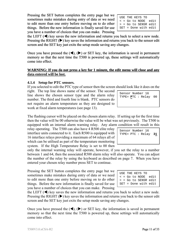Pressing the SET button completes the entry page but we sometimes make mistakes during entry of data or we need to edit more than one entry before moving on to do other things. Before the new information is finally saved for use you have a number of choices that you can make. Pressing

the LEFT  $(\blacktriangleleft)$  key saves the new information and returns you back to select a new node. Pressing the RIGHT  $(\triangleright)$  key saves the information and returns you back to the sensor edit screen and the SET key just exits the setup mode saving any changes.

Once you have pressed the  $(\blacktriangle)$ ,  $(\blacktriangleright)$  or SET key, the information is saved in permanent memory so that the next time the T500 is powered up, these settings will automatically come into effect.

#### **WARNING: If you do not press a key for 1 minute, the edit menu will close and any data entered will be lost.**

#### **4.1.4 Setup for PTC sensors.**

If you selected to edit the PTC type of sensor then the screen should look like it does on the

right. The top line shows name of the sensor. The second line shows the chosen sensor type and the alarm relay number. The third and fourth line is blank. PTC sensors do not require an alarm temperature as they are designed to work at fixed alarm temperatures (see page 13).

The flashing cursor will be placed on the chosen alarm relay. If setting up for the first time then the value will be 00 otherwise the value will be what was set previously. The T500 is equipped with an internal alarm warning relay. Any alarm condition will result in this

relay operating. The T500 can also have 4 R500 elite relay interface units connected to it. Each R500 is equipped with 16 interface relays providing a maximum of 64 relays all of which can be utilised as part of the temperature monitoring system. If the High Temperature Relay is set to 00 then

only the internal warning relay will operate, however, if you set the relay to a number between 1 and 64, then the associated R500 alarm relay will also operate. You can adjust the number of the relay by using the keyboard as described on page 7. When you have entered your chosen relay number press SET to continue.

Pressing the SET button completes the entry page but we sometimes make mistakes during entry of data or we need to edit more than one entry before moving on to do other things. Before the new information is finally saved for use you have a number of choices that you can make. Pressing

the LEFT  $(\blacktriangleleft)$  key saves the new information and returns you back to select a new node. Pressing the RIGHT  $(\triangleright)$  key saves the information and returns you back to the sensor edit screen and the SET key just exits the setup mode saving any changes.

Once you have pressed the  $(\blacktriangle)$ ,  $(\blacktriangleright)$  or SET key, the information is saved in permanent memory so that the next time the T500 is powered up, these settings will automatically come into effect.

| Sensor Number 16       |  |
|------------------------|--|
| TYPE= PTC : $Relav$ 31 |  |
|                        |  |
|                        |  |

Sensor Number 16 TYPE= **P**TC : Relay 00

USE THE KEYS TO < = Go to NODE edit > = Go to SENSR edit SET = Done with edit

| USE THE KEYS TO      |  |
|----------------------|--|
| < = Go to NODE edit  |  |
| > = Go to SENSR edit |  |
| SET = Done with edit |  |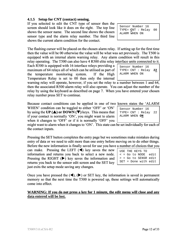#### **4.1.5 Setup for CNT (contact) sensing.**

If you selected to edit the CNT type of sensor then the screen should look like it does on the right. The top line shows the sensor name. The second line shows the chosen sensor type and the alarm relay number. The third line shows the current alarm condition for the contact.

The flashing cursor will be placed on the chosen alarm relay. If setting up for the first time then the value will be 00 otherwise the value will be what was set previously. The T500 is equipped with an internal alarm warning relay. Any alarm condition will result in this relay operating. The T500 can also have 4 R500 elite relay interface units connected to it.

Each R500 is equipped with 16 interface relays providing a maximum of 64 relays all of which can be utilised as part of the temperature monitoring system. If the High Temperature Relay is set to 00 then only the internal

warning relay will operate, however, if you set the relay to a number between 1 and 64, then the associated R500 alarm relay will also operate. You can adjust the number of the relay by using the keyboard as described on page 7. When you have entered your chosen relay number press SET to continue.

Because contact conditions can be applied in one of two known states the 'ALARM

WHEN' condition can be toggled to either 'OFF' or 'ON' by using the **UP (** $\triangle$ **) or DOWN (** $\nabla$ **)** keys. This means that if your contact is normally 'ON', you might want to alarm when it changes to 'OFF' or if it is normally 'OFF' you

might want to alarm when it changes to 'ON'. This state can be set individually for each of the contact inputs.

Pressing the SET button completes the entry page but we sometimes make mistakes during entry of data or we need to edit more than one entry before moving on to do other things. Before the new information is finally saved for use you have a number of choices that you

can make. Pressing the LEFT  $(\triangleleft)$  key saves the new information and returns you back to select a new node. Pressing the RIGHT  $(\triangleright)$  key saves the information and returns you back to the sensor edit screen and the SET key just exits the setup mode saving any changes.

Once you have pressed the  $(\blacktriangle)$ ,  $(\blacktriangleright)$  or SET key, the information is saved in permanent memory so that the next time the T500 is powered up, these settings will automatically come into effect.

#### **WARNING: If you do not press a key for 1 minute, the edit menu will close and any data entered will be lost.**

| Sensor Number 16<br>TYPE= $CNT :$ Relay 22 |  |
|--------------------------------------------|--|
| ALARM WHEN ON                              |  |

USE THE KEYS TO < = Go to NODE edit > = Go to SENSR edit SET = Done with edit

Sensor Number 16 TYPE= **C**NT : Relay 00 ALARM WHEN ON

Sensor Number 16 TYPE= CNT : Relay **22**

ALARM WHEN ON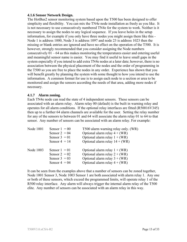#### **4.1.6 Sensor Network Design.**

The HotBus2 sensor monitoring system based upon the T500 has been designed to offer simplicity and flexibility. You can mix the TN4e node installation as freely as you like. It is not necessary to use consecutively numbered TN4e for the system to work. Neither is it necessary to assign the nodes to any logical sequence. If you leave holes in the setup information, for example if you only have three nodes you might assign them like this - Node 1 is address 1000, Node 3 is address 1097 and node 23 is address 1023 then the missing or blank entries are ignored and have no effect on the operation of the T500. It is however, strongly recommended that you consider assigning the Node numbers consecutively 01 – 64 as this makes monitoring the temperatures easier and entering useful and meaningful sensor name is easier. You may find it useful to leave small gaps in the system especially if you intend to add extra TN4e nodes at a later date; however, there is no association between the physical placement of the nodes and the order of programming in the T500 so you are free to place the nodes in any order. Experience has shown that you will benefit greatly by planning the system with some thought to how you intend to use the information. A common format for use is to assign each node to a section or area to be monitored and assign the sensors according the needs of that area, adding more nodes if necessary.

#### **4.1.7 Alarm zoning.**

Each TN4e node can read the state of 4 independent sensors. These sensors can be associated with an alarm relay. Alarm relay 00 (default) is the built in warning relay and operates for all alarm conditions. If the optional relay interfaces are fitted (R50016V345) then up to a further 64 alarm channels are available for the user. Setting the relay number for any of the sensors to between 01 and 64 will associate the alarm relay 01 to 64 to that sensor. Any number of sensors can be associated with an alarm relay. For example:

| Node 1001 | Sensor $1 = 00$<br>Sensor $2 = 04$<br>Sensor $3 = 01$<br>Sensor $4 = 14$ | T500 alarm warning relay only. (WR)<br>Optional alarm relay $4 + (WR)$<br>Optional alarm relay $1 + (WR)$<br>Optional alarm relay $14 + (WR)$ |
|-----------|--------------------------------------------------------------------------|-----------------------------------------------------------------------------------------------------------------------------------------------|
| Node 1003 | Sensor $1 = 01$<br>Sensor $2 = 02$<br>Sensor $3 = 03$<br>Sensor $4 = 04$ | Optional alarm relay $1 + (WR)$<br>Optional alarm relay $2 + (WR)$<br>Optional alarm relay $3 + (WR)$<br>Optional alarm relay $4 + (WR)$      |

It can be seen from the examples above that a number of sensors can be zoned together, Node 1001 Sensor 3, Node 1003 Sensor 1 are both associated with alarm relay 1. Any one or both of these sensors, which exceed the programmed limits, will operate relay 1 of the R500 relay interface. Any alarm will always trigger the internal alarm relay of the T500 elite. Any number of sensors can be associated with an alarm relay in this way.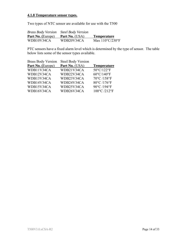#### **4.1.8 Temperature sensor types.**

Two types of NTC sensor are available for use with the T500

| <b>Brass Body Version</b> | <b>Steel Body Version</b> |                                      |
|---------------------------|---------------------------|--------------------------------------|
| <b>Part No.</b> (Europe)  | <b>Part No.</b> (USA)     | <b>Temperature</b>                   |
| WDB10V34CA                | WDB20V34CA                | Max $110^{\circ}$ C/230 $^{\circ}$ F |

PTC sensors have a fixed alarm level which is determined by the type of sensor. The table below lists some of the sensor types available.

| <b>Brass Body Version</b> | <b>Steel Body Version</b> |                      |
|---------------------------|---------------------------|----------------------|
| Part No. (Europe)         | Part No. (USA)            | <b>Temperature</b>   |
| WDB11V34CA                | WDB21V34CA                | 50°C/122°F           |
| WDB12V34CA                | WDB22V34CA                | $60^{\circ}$ C/140°F |
| WDB13V34CA                | WDB23V34CA                | 70°C /158°F          |
| WDB14V34CA                | WDB24V34CA                | 80°C /176°F          |
| WDB15V34CA                | WDB25V34CA                | 90°C /194°F          |
| WDB16V34CA                | WDB26V34CA                | 100°C /212°F         |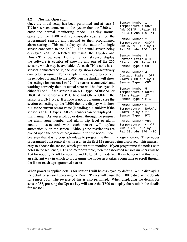#### **4.2 Normal Operation.**

Once the initial setup has been performed and at least 1 TN4e has been connected to the system then the T500 will enter the normal monitoring mode. During normal operation, the T500 will continuously scan all of the programmed sensors and respond to their programmed alarm settings. This mode displays the status of a single sensor connected to the T500. The actual sensor being displayed can be selected by using the  $Up(\triangle)$  and Down( $\nabla$ ) arrow keys. During the normal sensor display the software is capable of showing any one of the 256 sensors, which may be available. As each TN4e node has 4 sensors connected to it, the display shows consecutively connected sensors. For example if you were to connect three nodes 1,2 and 3 to the T500 then the display will show the settings for sensors 1 to 12. If a sensor is connected and working correctly then its actual state will be displayed in either °C or °F if the sensor is an NTC type, NORMAL or HIGH if the sensor is a PTC type and ON or OFF if the sensor is a CNT type. If a node is not programmed (see the section on setting up the T500) then the display will show  $\le$  > as the current sensor value (including  $\le$  > ambient if the sensor is an NTC type). All 256 sensors can be displayed in this manner. As you scroll up or down through the sensors, the alarm zone number and alarm trip level or alarm condition associated with each sensor will update automatically on the screen. Although no restrictions are placed upon the order of programming for the nodes, it can

| Sensor Number 1<br>Temperature = $082^{\circ}F$<br>Amb 070°F :Relay 10<br>Rel 30: Abs 150: NTC                          |
|-------------------------------------------------------------------------------------------------------------------------|
| Sensor Number 2<br>Temperature = $080^{\circ}F$<br>Amb 070°F : Relay 10<br>Rel 30: Abs 150: NTC                         |
| Sensor Number 3<br>Contact State = OFF<br>Alarm = $ON$ :Relay 11<br>Sensor Type = CNT                                   |
| Sensor Number 4<br>Contact State = OFF<br>Alarm = ON :Relay 12<br>Sensor Type = CNT                                     |
| Sensor Number 5<br>Temperature = NORMAL<br>Alarm Relay = 27<br>Sensor Type =<br>PTC                                     |
| Sensor Number 6<br>Temperature =<br><b>NORMAL</b><br>Alarm Relay = 27<br>Sensor Type =<br>PTC                           |
| Sensor Number 200<br>Temperature = $\leftarrow$ > °F<br>Amb $\leftarrow$ > $\circ$ F : Relay 00<br>Rel 30: Abs 176: NTC |

bee seen that it is to your advantage to programme them in a logical order. Three nodes programmed consecutively will result in the first 12 sensors being displayed. This makes it easy to choose the sensor, which you want to monitor. If you programme the nodes with holes in the sequence, 1,15 and 26 for example, then the associated sensors numbers will be 1..4 for node 1, 57..60 for node 15 and 101..104 for node 26. It can be seen that this is not an efficient way in which to programme the nodes as it takes a long time to scroll through the list to reach a programmed sensor.

When power is applied details for sensor 1 will be displayed by default. While displaying the detail for sensor 1, pressing the Down( $\nabla$ ) key will cause the T500 to display the details for sensor 256. The reverse of this is also permitted. When displaying the details for sensor 256, pressing the Up( $\triangle$ ) key will cause the T500 to display the result in the details for sensor 1.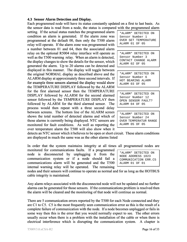#### **4.3 Sensor Alarm Detection and Display.**

Each programmed node will have its status constantly updated on a first to last basis. As the sensor data is read from a node, the status is compared with the programmed alarm

setting. If the actual status matches the programmed alarm condition an alarm is generated. If the alarm zone was programmed at the default 00, then only the T500 alarm relay will operate. If the alarm zone was programmed with a number between 01 and 64, then the associated alarm relay on the optional R5004 relay interface will operate as well as the T500 warning relay. When an alarm is detected, the display changes to show the details for the sensor, which generated the alarm. Up to 20 alarms can be detected and displayed in this manner. The display will toggle between the original NORMAL display as described above and the ALARM display at approximately three second intervals. If for example three sensors alarmed the display would show the TEMPERATURE DISPLAY followed by the ALARM for the first alarmed sensor then the TEMPERATURE DISPLAY followed by ALARM for the second alarmed sensor followed by the TEMPERATURE DISPLAY then followed by ALARM for the third alarmed sensor. The process would then repeat with a three second delay between screens. The bottom line of the ALARM screen shows the total number of detected alarms and which of those alarms is currently being displayed. NTC sensors are monitored for fault conditions. As well as reporting the over temperature alarm the T500 will also show when it

\*ALARM\* DETECTED ON Sensor Number 1 OVER SET TEMPERATURE ALARM 01 OF 05

\*ALARM\* DETECTED ON Sensor Number 3 CONTACT CHANGE ALARM ALARM 02 OF 05

\*ALARM\* DETECTED ON Sensor Number 6 HOT BEARING ALARM ALARM 03 OF 05

\*ALARM\* DETECTED ON Sensor Number 12 OPEN SENSOR FAULT? ALARM 04 OF 05

\*ALARM\* DETECTED ON Sensor Number 24 OVER TEMPERATUR RANGE ALARM 05 OF 05

detects an NTC sensor which it believes to be open or short circuit. These alarm conditions are displayed in much the same was as the other alarms listed

In order that the system maintains integrity at all times all programmed nodes are

monitored for communications faults. If a programmed node is disconnected by unplugging it from the communication system or if a node should fail a communications alarm will be generated and the T500 internal warning relay will be operated. The remaining

nodes and their sensors will continue to operate as normal and for as long as the HOTBUS cable integrity is maintained.

Any alarm relays associated with the disconnected node will not be updated and no further alarms can be generated for those sensors. If the communications problem is resolved then the alarm will be cleared and the monitoring of that node will continue as normal.

There are 5 communication errors reported by the T500 for each Node connected and they are C1 to C5. C5 is the most frequently seen communication error as this is the result of a complete failure of communication with the node. If a node becomes unplugged or fails in some way then this is the error that you would normally expect to see. The other errors usually occur when there is a problem with the installation of the cable or when there is electrical interference which is disrupting the communication system. A chapter is

| *ALARM* DETECTED ON  |  |  |  |
|----------------------|--|--|--|
| NODE ADDRESS 1023    |  |  |  |
| COMMUNICATION ERR.C5 |  |  |  |
| ALARM 01 OF 01       |  |  |  |
|                      |  |  |  |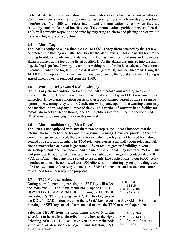included later to offer advice should communications errors happen in you installation. Communications errors are not uncommon especially those which are due to electrical interference, The T500 will reject intermittent communications errors when they are caused by random electrical interference. If a communications problem persists, then the T500 will correctly respond to the error by triggering an alarm and placing and entry into the alarm log as described below.

#### **4.4 Alarm Log**

The T500 is equipped with a simple ALARM LOG. Every alarm detected by the T500 will be entered into this log no matter how briefly the alarm exists. This is a useful feature for finding troublesome intermittent alarms. The log has space for 20 alarms and the newest alarm is always at the top of the list at position 1. As the alarms are entered into the alarm log, the log is pushed down by 1 each time making room for the latest alarm to be entered. Eventually, when the log is full the oldest alarm (alarm 20) will be discarded. Using the ALARM LOG option in the main menu, you can examine the log at any time. The log is erased when power is removed from the T500.

#### **4.5 Warning Relay Cancel (Acknowledge).**

If during any alarm condition and whilst the T500 internal alarm warning relay is in operation, the SET key is pressed, then the internal alarm relay and LED warning will be cancelled. If the alarm condition persists, after a programmed period of time (see menu options) the warning relay and LED indicator will operate again. The warning alarm may be cancelled in this way any number of times. This version of software has a facility for remote alarm acknowledge through the F500 fieldbus interface. See the section titled 'F500 remote acknowledge' later in this manual.

#### **4.6 Alarm condition stop. (Shut Down)**

The T500 is not equipped with any shutdown or stop relays. It was intended that the internal alarm relay be used for audible or visual warnings. However, providing that the correct ratings are observed, there is no reason why the relay cannot be used for indirect control of a stop/start circuit. The T500 relay operates as a normally open relay and will close contact when an alarm is generated. If you require greater flexibility in your alarm/stop circuits then we recommend the use of the optional relay interface R5004. This unit provides 16 additional relays each with a single pole changeover contact rated 250 VAC @ 5Amp, which are more suited to use in interface applications. Four R5004 relay interface units may be connected to a T500 elite sensor monitoring system providing a total of 64 relays. None of the relay contacts are 'SAFETY' contacts and as such must not be relied upon for emergency stop purposes.

#### **4.7 T500 Menu selection.**

During normal operation, pressing the SET key will select the main menu. The main menu has 3 options SETUP, DOWNLOAD and ALARM LOG. Pressing the LEFT (◄) key selects SETUP, pressing the RIGHT (►) key selects

```
MAIN MENU:- 
\leq = SETUP
> = DOWNLOAD
```
^ = Alarm Log

the DOWNLOAD option, pressing the UP  $(\triangle)$  key selects the ALARM LOG option and pressing the SET key cancels the menu and returns the T500 to normal operation.

T500V3.0.xCSA-R2 **Page 17 of 33** Selecting SETUP from the main menu allows 3 further selections to be made as described in the box to the right. Selecting NODE SETUP will take you to the main node setup area as described on page 8 and selecting T500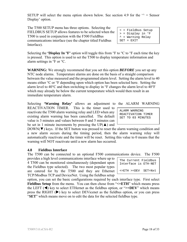SETUP will select the menu option shown below. See section 4.9 for the  $\gamma$  = Sensor Display' option.

The T500 SETUP menu has three options. Selecting the FIELDBUS SETUP allows features to be selected when the T500 is used in conjunction with the F500 FieldBus communications interface (see the chapter titled Fieldbus Interface).

Selecting the **'Display In**  ${}^{\circ}$ **F'** option will toggle this from  ${}^{\circ}$ F to  ${}^{\circ}$ C to  ${}^{\circ}$ F each time the key is pressed. This option is used to set the T500 to display temperature information and alarm settings in °F or °C.

**WARNING:** We strongly recommend that you set this option *BEFORE* you set up any NTC node alarms. Temperature alarms are done on the basis of a straight comparison between the value measured and the programmed alarm level. Setting the alarm level to 40 means either °C or °F depending upon which option has been selected here. Setting the alarm level to  $40^{\circ}$ C and then switching to display in  ${}^{\circ}$ F changes the alarm level to  $40^{\circ}$ F which may already be below the current temperature which would then result in an immediate temperature alarm.

Selecting **'Warning Relay'** allows an adjustment to the ALARM WARNING REACTIVATION TIMER. This is the timer used to reactivate the T500 alarm warning relay and LED when any existing alarm warning has been cancelled. The default value is 3 minutes and values between 0 and 5 minutes can be set in 1 minute increments by pressing the UP( $\triangle$ ) and

 $DOWN(\blacktriangledown)$  keys. If the SET button was pressed to reset the alarm warning condition and a new alarm occurs during the timing period, then the alarm warning relay will automatically reactivate and the timer will be reset. Setting this value to 0 means that the warning will NOT reactivate until a new alarm has occurred.

#### **4.8 Fieldbus Interface**

The T500 can be connected to an optional F500 communications device. The F500

provides a high level communications interface where up to 4 T500 can be monitored simultaneously (dependant upon the Fieldbus type selected). The two most popular types are catered for by the T500 and they are Ethernet TCP/Modbus TCP and DeviceNet. Using the fieldbus setup

option, you can set the basic configurations required by each interface type. First select **Fieldbus Setup** from the menu. You can then chose from " $\leq$ =**ETH**" which means press the LEFT  $(\triangleleft)$  key to select ETHernet as the fieldbus option, or " $>=$ DEV" which means press the RIGHT  $(\triangleright)$  key to select DEVicenet as the fieldbus option, or you can press "**SET**" which means move on to edit the data for the selected fieldbus type.

| ALARM WARNING      |  |  |  |                   |
|--------------------|--|--|--|-------------------|
| REACTIVATION TIMER |  |  |  |                   |
|                    |  |  |  | SET TO 03 MINUTES |
|                    |  |  |  |                   |

The Current Fieldbus Interface is ETH-NET

<=ETH >=DEV SET=Nxt

< = Fieldbus Setup > = Display in °F  $^{\sim}$  = Warning Relay

SET = EXIT

|                  | ALARM WARNING |
|------------------|---------------|
| ARM WARNING      |               |
| ACTIVATION TIMER |               |
| T TO 03 MINUTES  |               |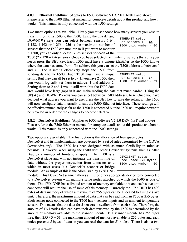**4.8.1 Ethernet Fieldbus:** (Applies to F500 software V1.3.2 ETH-NET and above) Please refer to the F500 Ethernet manual for complete details about this product and how it works. This manual is only concerned with the T500 settings.

Two menu options are available. Firstly you must choose how many sensors you wish to

transmit from **this** T500 to the F500. Using the UP( $\triangle$ ) and  $DOWN(\blacktriangledown)$  keys you can select between sensors 1-64, 1-128, 1-192 or 1-256. 256 is the maximum number of sensors that the F500 can monitor so if you want to monitor 2 T500, you can only allocate 1-128 sensors for each of the

T500 (2 x  $128 = 256$  sensors). Once you have selected the number of sensors that suits your needs press the SET key. Each T500 must have a unique identifier so the F500 knows where the data has come from. To achieve this you can set the T500 address to between 0

and 4. The 0 setting effectively stops the T500 from sending data to the F500. Each T500 must have a unique setting (but they can all be set to 0). If you have 2 T500 then you would logically set them to address 1 and address 2. Setting them to 2 and 4 would still work but the F500 data

area would have large gaps in it and make reading the data that much harder. Using the  $UP(\blacktriangle)$  and  $DOWN(\blacktriangledown)$  keys you can select between T500 address 0 to 4. Once you have decided what address you want to use, press the SET key to save the settings. The T500 will now configure data internally to suit the F500 Ethernet interface. These settings will be effective immediately as far as the T500 is concerned but the F500 will require power to be recycled in order for the changes to become effective.

**4.8.2 DeviceNet Fieldbus:** (Applies to F500 software V2.1.0 DEV-NET and above) Please refer to the F500 Ethernet manual for complete details about this product and how it works. This manual is only concerned with the T500 settings.

Two options are available. The first option is the allocation of free space bytes.

DeviceNet and its implementation are governed by a set of rules determined by the ODVA (www.odva.org). The F500 has been designed with as much flexibility in mind as possible. However, when using the F500 with other DeviceNet systems such as Allen

Bradley a number of limitations apply. The F500 is a DeviceNet slave and will not instigate the transmitting of data without the proper instruction from a master unit, which in most cases is a DeviceNet scanner or bridge module. An example of this is the Allen Bradley 1756 DNB

DEVICENET setup Free Space **070** Bytes T500 Unit Number - 00

module. This DeviceNet scanner allows a PLC or other appropriate device to be connected to a DeviceNet system with multiple salve nodes attached of which the F500 is one of them. The 1756 DNB has a limited amount of memory available to it and each slave unit connected will require the use of some of this memory. Currently the 1756 DNB has 490 bytes of data memory of which a maximum of 255 bytes can be allocated to a single slave unit. Therefore, the **maximum** amount of data that can be read from an F500 is 255 bytes. Each sensor node connected to the T500 has 4 sensors inputs and an ambient temperature sensor. This means that the data for 5 sensors is available from each node. Therefore, the amount of TN4 nodes that can have their data retrieved by the F500 is determined by the amount of memory available to the scanner module. If a scanner module has 255 bytes free, then  $255 / 5 = 51$ , the maximum amount of memory available is 255 bytes and each nodes presents 5 bytes of data so you can read the data for 51 nodes. There is also a two

ETHERNET setup For Sensors 1 – **64** T500 Unit Number  $-$  00

ETHERNET setup For Sensors 1 – 64 T500 Unit Number - **01**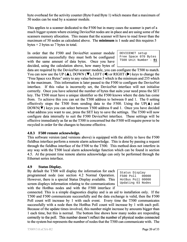byte overhead for the activity counter (Byte 0 and Byte 1) which means that a maximum of 50 nodes can be read by a scanner module.

This applies to a scanner dedicated to the F500 but in many cases the scanner is part of a much bigger system where existing DeviceNet nodes are in place and are using some of the scanners memory allocation. This means that the scanner will have to read fewer than the maximum of 50 nodes as calculated above. The **minimum** is 1 node and this requires 5 bytes  $+ 2$  bytes so 7 bytes in total.

In order that the F500 and DeviceNet scanner module communicate successfully they must both be configured with the same amount of data bytes. Once you have decided, using the calculation above, how many bytes of

DEVICENET setup Free Space 070 Bytes T500 Unit Number - **01**

data are required by the DeviceNet scanner module, you can configure the T500 to match. You can now use the UP ( $\blacktriangle$ ), DOWN ( $\nabla$ ), LEFT ( $\blacktriangle$ ) or RIGHT ( $\nobreakblacktriangleright$ ) keys to change the "Free Space xxx Bytes" entry to any value between 5 which is the minimum and 255 which is the maximum. This information is later passed to the F500 to configure the DeviceNet interface. If this value is incorrectly set, the DeviceNet interface will not initialise correctly. Once you have selected the number of bytes that suits your need press the SET key. The T500 must have a unique identifier so the F500 knows where the data has come from. To achieve this you can set the T500 address to between 0 and 1. The 0 setting effectively stops the T500 from sending data to the F500. Using the UP( $\blacktriangle$ ) and DOWN( $\blacktriangledown$ ) keys you can select between T500 address 0 and 1. Once you have decided what address you want to use, press the SET key to save the settings. The T500 will now configure data internally to suit the F500 DeviceNet interface. These settings will be effective immediately as far as the T500 is concerned but the F500 will require power to be recycled in order for the changes to become effective.

#### **4.8.3 F500 remote acknowledge.**

This software version (and versions above) is equipped with the ability to have the F500 fieldbus interface perform a remote alarm acknowledge. This is done by passing a request through the fieldbus interface of the F500 to the T500. This method does not interfere in any way with the T500 local alarm acknowledge function which can be found in section 4.5. At the present time remote alarms acknowledge can only be performed through the Ethernet series interface.

#### **4.9 Status Display.**

By default the T500 will display the information for each programmed node (see section 4.2 Normal Operation. However, there is a special Status Display available. This screen displays information relating to the communications with the HotBus nodes and with the F500 interface if

Status Display F500 Poll 00000 HotBus Poll 00000 Updating 03 Nodes

connected. This is a simple diagnostics display and is an aid to installation only. If the T500 and F500 communicate successfully and the data exchange is valid, then the F500 Poll count will increase by 1 with each event. Every time the T500 communicates successfully with a node then the HotBus Poll count will increase by 1 with each poll. Because of the update times involved, this number might increase by amounts bigger than 1 each time, but this is normal. The bottom line shows how many nodes are responding correctly to the poll. This number doesn't reflect the number of physical nodes connected to the system but represents the number of nodes that the T500 can communicate with. The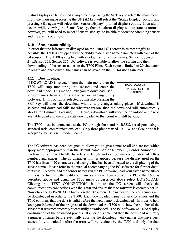Status Display can be selected at any time by pressing the SET key to select the main menu. From the main menu pressing the UP  $(\triangle)$  key will select the "Status Display" option, and pressing SET again will select the "Sensor Display" (normal display) option. If an alarm occurs while viewing the Status Display, then the alarm display will operate as normal, however, you will need to select "Sensor Display" to be able to view the offending sensor and the alarm condition.

#### **4.10 Sensor name editing.**

In order that the information displayed on the T500 LCD screen is as meaningful as possible, the T500 is equipped with the ability to display a name associated with each of the 64 sensors. The T500 is supplied with a default set of sensor names, Sensor 1, Sensor 2….Sensor 255, Sensor 256. PC software is available to allow the editing and then downloading of the sensor names to the T500 Elite. Each name is limited to 20 characters in length and once edited; the names can be saved on the PC for use again later.

#### **4.11 Downloading.**

If DOWNLOAD is selected from the main menu then the T500 will stop monitoring the sensors and enter the download mode. This mode allows you to download useful sensor names from a PC via the sensor naming utility software. If this option is selected by mistake pressing the

 DOWNLOADING .. PRESS SET TO ABORT

SET key will abort the download without any changes taking place. If download is selected and download fails for whatever reason, then the download will automatically abort after 1 minute. Pressing SET during a download will abort the download at the next available point and therefore data downloaded to that point will still be valid.

The T500 must be connected to the PC through the standard RS232 serial port using a standard serial communications lead. Only three pins are used TX, RX, and Ground so it is acceptable to use a null modem cable.

The PC software has been designed to allow you to give names to all 256 sensors which apply more appropriately than the default name Sensor Number 1, Sensor Number 2… Each name is limited to 20 characters in length and can be any combination of letters numbers and spaces. The 20 character limit is applied because the display used on the T500 has lines of 20 characters and a single line has been allocated to the displaying of the sensor name. Please refer to the manual accompanying the PC software for further detail of its use. To download the sensor names run the PC software, load your saved name file or if this is the first time then edit your names and save them; connect the PC to the T500 as described above and using the T500 menu as described above select DOWNLOAD. Clicking the "TEST CONNECTION" button on the PC screen will check the communications connections with the T500 and ensure that the software is correctly set up. Now click the DOWNLAOD button on the PC screen. The names for the 256 sensors will be downloaded in order to the T500. Each downloaded name is check for errors and the T500 confirms that the data is valid before the next name is downloaded. In order to help keep you informed of the progress of the download the T500 will show the number of the sensor that was most recently successfully downloaded. The PC software will also display confirmation of the download process. If an error is detected then the download will retry a number of times before eventually aborting the download. Any names that have been successfully download before the error will be retained by the T500 and only the data keep you informed of the progress of the download the T500 will show the number of the sensor that was most recently successfully downloaded. The PC software will also display confirmation of the download process. If an er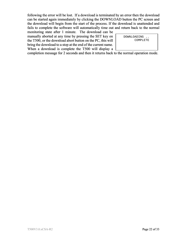following the error will be lost. If a download is terminated by an error then the download can be started again immediately by clicking the DOWNLOAD button the PC screen and the download will begin from the start of the process. If the download is unattended and fails to complete the software will automatically time out and return back to the normal

monitoring state after 1 minute. The download can be manually aborted at any time by pressing the SET key on the T500, or the download abort button on the PC, this will bring the download to a stop at the end of the current name. When a download is complete the T500 will display a

 DOWNLOADING .. COMPLETE

completion message for 2 seconds and then it returns back to the normal operation mode.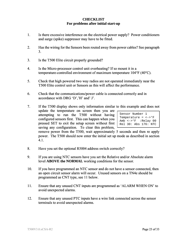#### **CHECKLIST For problems after initial start-up**

- 1. Is there excessive interference on the electrical power supply? Power conditioners and surge (spike) suppressor may have to be fitted.
- 2. Has the wiring for the Sensors been routed away from power cables? See paragraph 3.
- 3. Is the T500 Elite circuit properly grounded?
- 4. Is the Micro-processor control unit overheating? If so mount it in a temperature-controlled environment of maximum temperature 104°F (40°C).
- 5. Check that high powered two way radios are not operated immediately near the T500 Elite control unit or Sensors as this will affect the performance.
- 6. Check that the communications/power cable is connected correctly and in accordance with DRG 'D','H' and' J'.
- 7. If the T500 display shows only information similar to this example and does not update the temperature on screen then you are attempting to run the T500 without having configured sensors first. This can happen when you pressed SET to exit the setup screen without first Sensor Number 1 Temperature =  $\langle - \rangle^0 F$ Amb <->°F :Relay 00 Rel 30: Abs 176: NTC

saving any configuration. To clear this problem, remove power from the T500, wait approximately 5 seconds and then re apply power. The T500 should now enter the initial set up mode as described in section 4.1.

- 8. Have you set the optional R5004 address switch correctly?
- 9. If you are using NTC sensors have you set the Relative and/or Absolute alarm level **ABOVE the NORMAL** working conditions for the sensor.
- 10. If you have programmed an NTC sensor and do not have a sensor connected, then an open circuit sensor alarm will occur. Unused sensors on a TN4e should be programmed as CNT type, see 11 below.
- 11. Ensure that any unused CNT inputs are programmed as 'ALARM WHEN ON' to avoid unexpected alarms.
- 12. Ensure that any unused PTC inputs have a wire link connected across the sensor terminals to avoid unexpected alarms.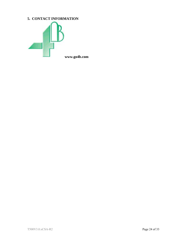### **5. CONTACT INFORMATION**

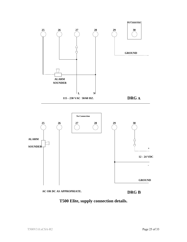



**AC OR DC AS APPROPRIATE.**



**GROUND**

**-**

**T500 Elite, supply connection details.**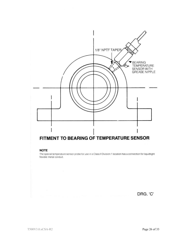

#### **NOTE**

The special temperature sensor probe for use in a Class II Division 1 location has a connection for liquidtight flexible metal conduit.

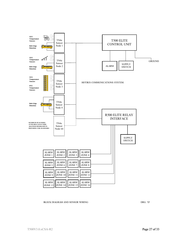

#### BLOCK DIAGRAM AND SENSOR WIRING DRG. 'D' DRG. 'D' DRG. 'D'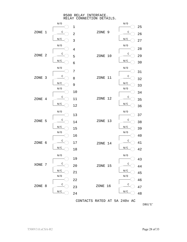R500 RELAY INTERFACE. RELAY CONNECTION DETAILS.



DRG'E'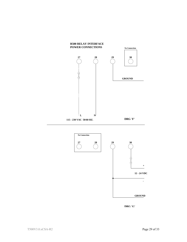



**DRG 'G'**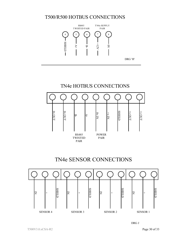## T500/R500 HOTBUS CONNECTIONS





## TN4e SENSOR CONNECTIONS



DRG J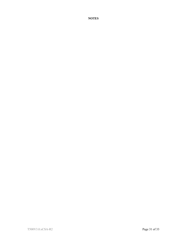**NOTES**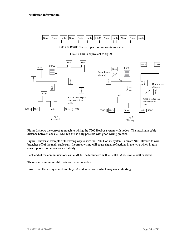

HOTBUS RS485 Twisted pair communications ca ble

FIG.1 (This is equivalent to fig.2)



Figure 2 shows the correct approach to wiring the T500 HotBus system with nodes. The maximum cable distance between ends is 1KM, but this is only possible with good wiring practice.

Figure 3 shows an example of the wrong way to wire the T500 HotBus system. You are NOT allowed to wire branches off of the main cable run. Incorrect wiring will cause signal reflections in the wire which in turn causes poor communications reliability.

Each end of the communications cable MUST be terminated with a 1200HM resistor  $\frac{1}{4}$  watt or above.

There is no minimum cable distance between nodes.

Ensure that the wiring is neat and tidy. Avoid loose wires which may cause shorting.